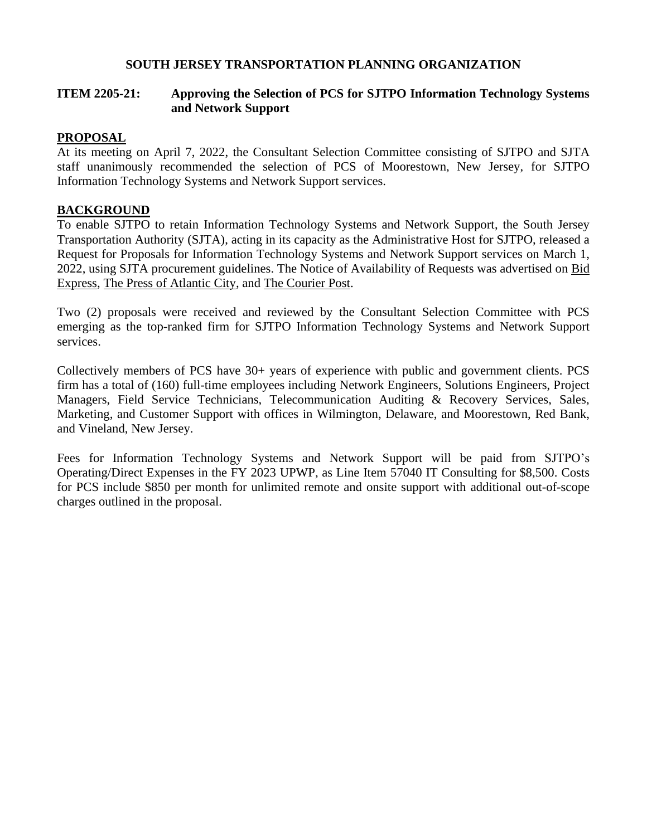#### **SOUTH JERSEY TRANSPORTATION PLANNING ORGANIZATION**

#### **ITEM 2205-21: Approving the Selection of PCS for SJTPO Information Technology Systems and Network Support**

#### **PROPOSAL**

At its meeting on April 7, 2022, the Consultant Selection Committee consisting of SJTPO and SJTA staff unanimously recommended the selection of PCS of Moorestown, New Jersey, for SJTPO Information Technology Systems and Network Support services.

#### **BACKGROUND**

To enable SJTPO to retain Information Technology Systems and Network Support, the South Jersey Transportation Authority (SJTA), acting in its capacity as the Administrative Host for SJTPO, released a Request for Proposals for Information Technology Systems and Network Support services on March 1, 2022, using SJTA procurement guidelines. The Notice of Availability of Requests was advertised on Bid Express, The Press of Atlantic City, and The Courier Post.

Two (2) proposals were received and reviewed by the Consultant Selection Committee with PCS emerging as the top-ranked firm for SJTPO Information Technology Systems and Network Support services.

Collectively members of PCS have 30+ years of experience with public and government clients. PCS firm has a total of (160) full-time employees including Network Engineers, Solutions Engineers, Project Managers, Field Service Technicians, Telecommunication Auditing & Recovery Services, Sales, Marketing, and Customer Support with offices in Wilmington, Delaware, and Moorestown, Red Bank, and Vineland, New Jersey.

Fees for Information Technology Systems and Network Support will be paid from SJTPO's Operating/Direct Expenses in the FY 2023 UPWP, as Line Item 57040 IT Consulting for \$8,500. Costs for PCS include \$850 per month for unlimited remote and onsite support with additional out-of-scope charges outlined in the proposal.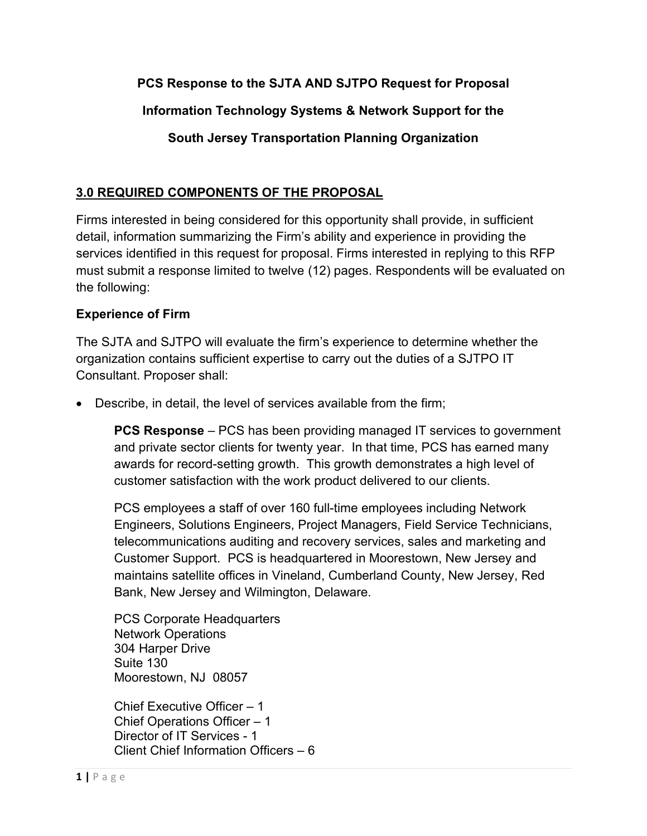## **PCS Response to the SJTA AND SJTPO Request for Proposal**

## **Information Technology Systems & Network Support for the**

## **South Jersey Transportation Planning Organization**

#### **3.0 REQUIRED COMPONENTS OF THE PROPOSAL**

Firms interested in being considered for this opportunity shall provide, in sufficient detail, information summarizing the Firm's ability and experience in providing the services identified in this request for proposal. Firms interested in replying to this RFP must submit a response limited to twelve (12) pages. Respondents will be evaluated on the following:

#### **Experience of Firm**

The SJTA and SJTPO will evaluate the firm's experience to determine whether the organization contains sufficient expertise to carry out the duties of a SJTPO IT Consultant. Proposer shall:

• Describe, in detail, the level of services available from the firm;

**PCS Response** – PCS has been providing managed IT services to government and private sector clients for twenty year. In that time, PCS has earned many awards for record-setting growth. This growth demonstrates a high level of customer satisfaction with the work product delivered to our clients.

PCS employees a staff of over 160 full-time employees including Network Engineers, Solutions Engineers, Project Managers, Field Service Technicians, telecommunications auditing and recovery services, sales and marketing and Customer Support. PCS is headquartered in Moorestown, New Jersey and maintains satellite offices in Vineland, Cumberland County, New Jersey, Red Bank, New Jersey and Wilmington, Delaware.

PCS Corporate Headquarters Network Operations 304 Harper Drive Suite 130 Moorestown, NJ 08057

Chief Executive Officer – 1 Chief Operations Officer – 1 Director of IT Services - 1 Client Chief Information Officers – 6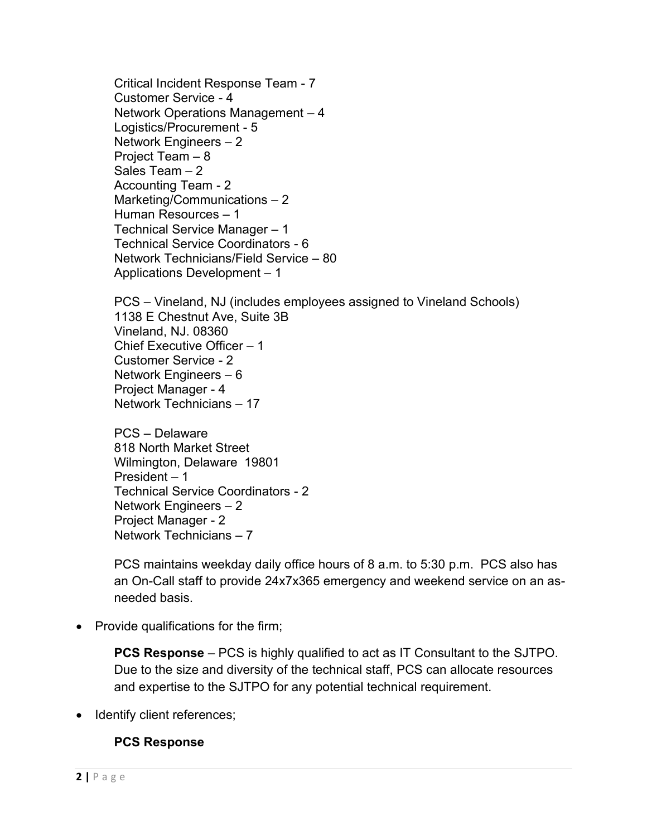Critical Incident Response Team - 7 Customer Service - 4 Network Operations Management – 4 Logistics/Procurement - 5 Network Engineers – 2 Project Team – 8 Sales Team – 2 Accounting Team - 2 Marketing/Communications – 2 Human Resources – 1 Technical Service Manager – 1 Technical Service Coordinators - 6 Network Technicians/Field Service – 80 Applications Development – 1

PCS – Vineland, NJ (includes employees assigned to Vineland Schools) 1138 E Chestnut Ave, Suite 3B Vineland, NJ. 08360 Chief Executive Officer – 1 Customer Service - 2 Network Engineers – 6 Project Manager - 4 Network Technicians – 17

PCS – Delaware 818 North Market Street Wilmington, Delaware 19801 President – 1 Technical Service Coordinators - 2 Network Engineers – 2 Project Manager - 2 Network Technicians – 7

PCS maintains weekday daily office hours of 8 a.m. to 5:30 p.m. PCS also has an On-Call staff to provide 24x7x365 emergency and weekend service on an asneeded basis.

• Provide qualifications for the firm;

**PCS Response** – PCS is highly qualified to act as IT Consultant to the SJTPO. Due to the size and diversity of the technical staff, PCS can allocate resources and expertise to the SJTPO for any potential technical requirement.

• Identify client references;

#### **PCS Response**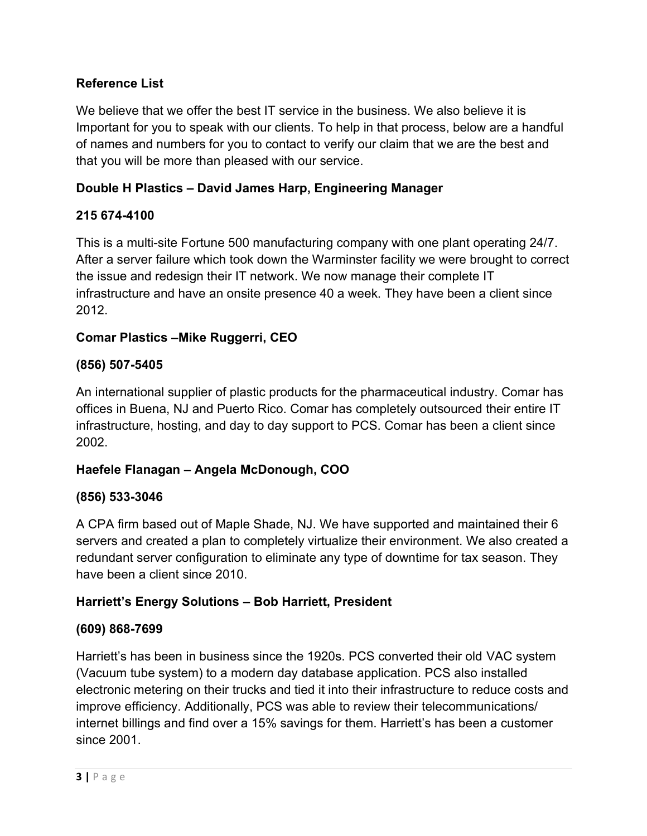## **Reference List**

We believe that we offer the best IT service in the business. We also believe it is Important for you to speak with our clients. To help in that process, below are a handful of names and numbers for you to contact to verify our claim that we are the best and that you will be more than pleased with our service.

## **Double H Plastics – David James Harp, Engineering Manager**

#### **215 674-4100**

This is a multi-site Fortune 500 manufacturing company with one plant operating 24/7. After a server failure which took down the Warminster facility we were brought to correct the issue and redesign their IT network. We now manage their complete IT infrastructure and have an onsite presence 40 a week. They have been a client since 2012.

## **Comar Plastics –Mike Ruggerri, CEO**

#### **(856) 507-5405**

An international supplier of plastic products for the pharmaceutical industry. Comar has offices in Buena, NJ and Puerto Rico. Comar has completely outsourced their entire IT infrastructure, hosting, and day to day support to PCS. Comar has been a client since 2002.

#### **Haefele Flanagan – Angela McDonough, COO**

#### **(856) 533-3046**

A CPA firm based out of Maple Shade, NJ. We have supported and maintained their 6 servers and created a plan to completely virtualize their environment. We also created a redundant server configuration to eliminate any type of downtime for tax season. They have been a client since 2010.

#### **Harriett's Energy Solutions – Bob Harriett, President**

#### **(609) 868-7699**

Harriett's has been in business since the 1920s. PCS converted their old VAC system (Vacuum tube system) to a modern day database application. PCS also installed electronic metering on their trucks and tied it into their infrastructure to reduce costs and improve efficiency. Additionally, PCS was able to review their telecommunications/ internet billings and find over a 15% savings for them. Harriett's has been a customer since 2001.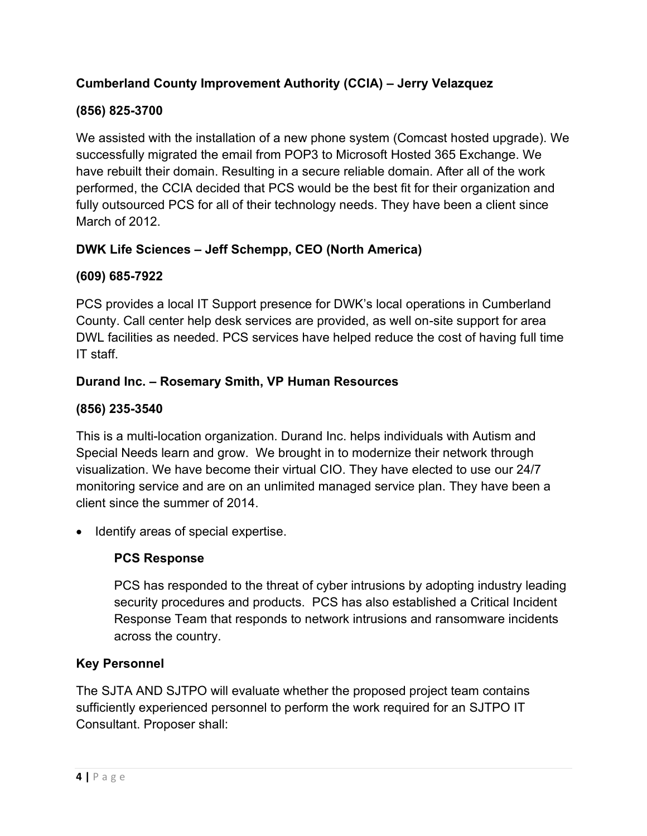## **Cumberland County Improvement Authority (CCIA) – Jerry Velazquez**

## **(856) 825-3700**

We assisted with the installation of a new phone system (Comcast hosted upgrade). We successfully migrated the email from POP3 to Microsoft Hosted 365 Exchange. We have rebuilt their domain. Resulting in a secure reliable domain. After all of the work performed, the CCIA decided that PCS would be the best fit for their organization and fully outsourced PCS for all of their technology needs. They have been a client since March of 2012.

## **DWK Life Sciences – Jeff Schempp, CEO (North America)**

## **(609) 685-7922**

PCS provides a local IT Support presence for DWK's local operations in Cumberland County. Call center help desk services are provided, as well on-site support for area DWL facilities as needed. PCS services have helped reduce the cost of having full time IT staff.

## **Durand Inc. – Rosemary Smith, VP Human Resources**

## **(856) 235-3540**

This is a multi-location organization. Durand Inc. helps individuals with Autism and Special Needs learn and grow. We brought in to modernize their network through visualization. We have become their virtual CIO. They have elected to use our 24/7 monitoring service and are on an unlimited managed service plan. They have been a client since the summer of 2014.

• Identify areas of special expertise.

## **PCS Response**

PCS has responded to the threat of cyber intrusions by adopting industry leading security procedures and products. PCS has also established a Critical Incident Response Team that responds to network intrusions and ransomware incidents across the country.

## **Key Personnel**

The SJTA AND SJTPO will evaluate whether the proposed project team contains sufficiently experienced personnel to perform the work required for an SJTPO IT Consultant. Proposer shall: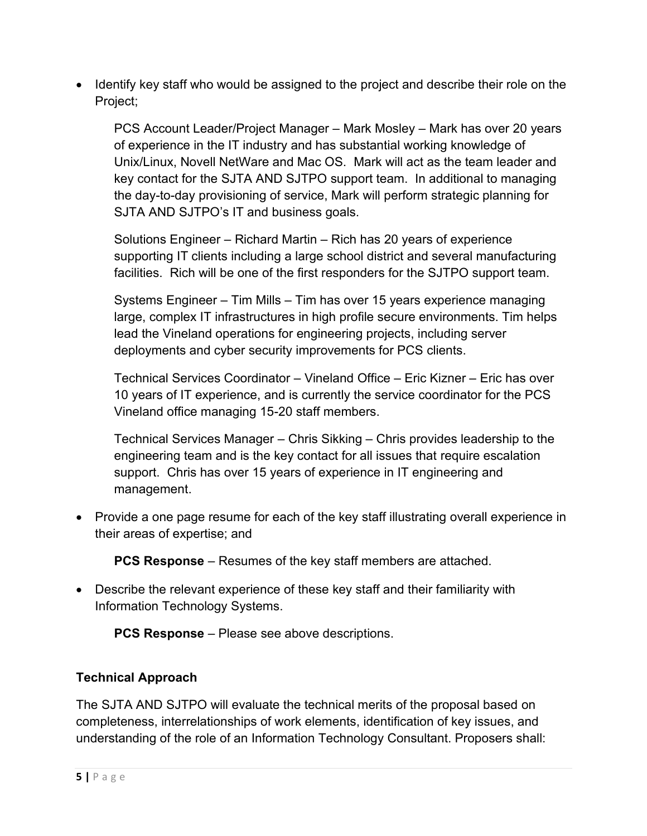• Identify key staff who would be assigned to the project and describe their role on the Project;

PCS Account Leader/Project Manager – Mark Mosley – Mark has over 20 years of experience in the IT industry and has substantial working knowledge of Unix/Linux, Novell NetWare and Mac OS. Mark will act as the team leader and key contact for the SJTA AND SJTPO support team. In additional to managing the day-to-day provisioning of service, Mark will perform strategic planning for SJTA AND SJTPO's IT and business goals.

Solutions Engineer – Richard Martin – Rich has 20 years of experience supporting IT clients including a large school district and several manufacturing facilities. Rich will be one of the first responders for the SJTPO support team.

Systems Engineer – Tim Mills – Tim has over 15 years experience managing large, complex IT infrastructures in high profile secure environments. Tim helps lead the Vineland operations for engineering projects, including server deployments and cyber security improvements for PCS clients.

Technical Services Coordinator – Vineland Office – Eric Kizner – Eric has over 10 years of IT experience, and is currently the service coordinator for the PCS Vineland office managing 15-20 staff members.

Technical Services Manager – Chris Sikking – Chris provides leadership to the engineering team and is the key contact for all issues that require escalation support. Chris has over 15 years of experience in IT engineering and management.

• Provide a one page resume for each of the key staff illustrating overall experience in their areas of expertise; and

**PCS Response** – Resumes of the key staff members are attached.

• Describe the relevant experience of these key staff and their familiarity with Information Technology Systems.

**PCS Response** – Please see above descriptions.

## **Technical Approach**

The SJTA AND SJTPO will evaluate the technical merits of the proposal based on completeness, interrelationships of work elements, identification of key issues, and understanding of the role of an Information Technology Consultant. Proposers shall: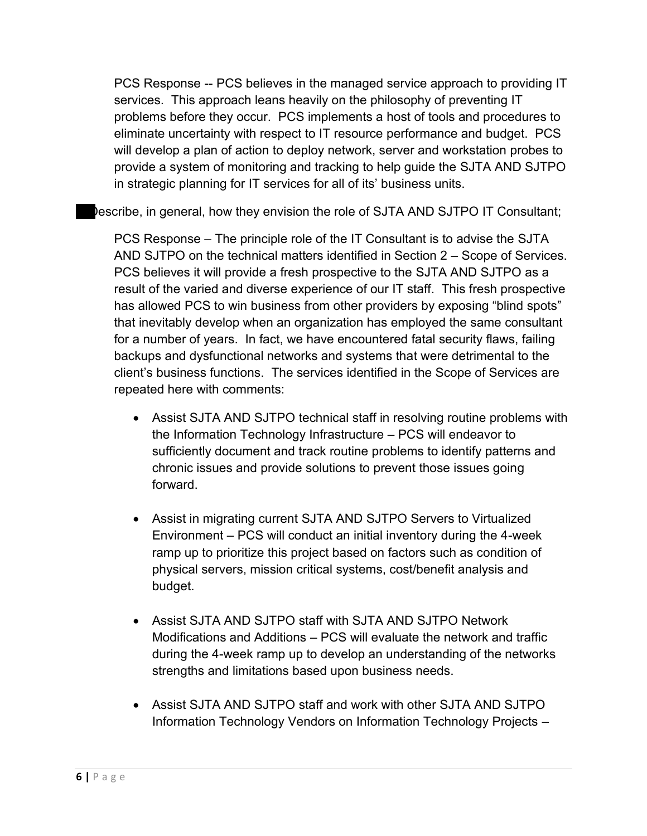PCS Response -- PCS believes in the managed service approach to providing IT services. This approach leans heavily on the philosophy of preventing IT problems before they occur. PCS implements a host of tools and procedures to eliminate uncertainty with respect to IT resource performance and budget. PCS will develop a plan of action to deploy network, server and workstation probes to provide a system of monitoring and tracking to help guide the SJTA AND SJTPO in strategic planning for IT services for all of its' business units.

lescribe, in general, how they envision the role of SJTA AND SJTPO IT Consultant;

PCS Response – The principle role of the IT Consultant is to advise the SJTA AND SJTPO on the technical matters identified in Section 2 – Scope of Services. PCS believes it will provide a fresh prospective to the SJTA AND SJTPO as a result of the varied and diverse experience of our IT staff. This fresh prospective has allowed PCS to win business from other providers by exposing "blind spots" that inevitably develop when an organization has employed the same consultant for a number of years. In fact, we have encountered fatal security flaws, failing backups and dysfunctional networks and systems that were detrimental to the client's business functions. The services identified in the Scope of Services are repeated here with comments:

- Assist SJTA AND SJTPO technical staff in resolving routine problems with the Information Technology Infrastructure – PCS will endeavor to sufficiently document and track routine problems to identify patterns and chronic issues and provide solutions to prevent those issues going forward.
- Assist in migrating current SJTA AND SJTPO Servers to Virtualized Environment – PCS will conduct an initial inventory during the 4-week ramp up to prioritize this project based on factors such as condition of physical servers, mission critical systems, cost/benefit analysis and budget.
- Assist SJTA AND SJTPO staff with SJTA AND SJTPO Network Modifications and Additions – PCS will evaluate the network and traffic during the 4-week ramp up to develop an understanding of the networks strengths and limitations based upon business needs.
- Assist SJTA AND SJTPO staff and work with other SJTA AND SJTPO Information Technology Vendors on Information Technology Projects –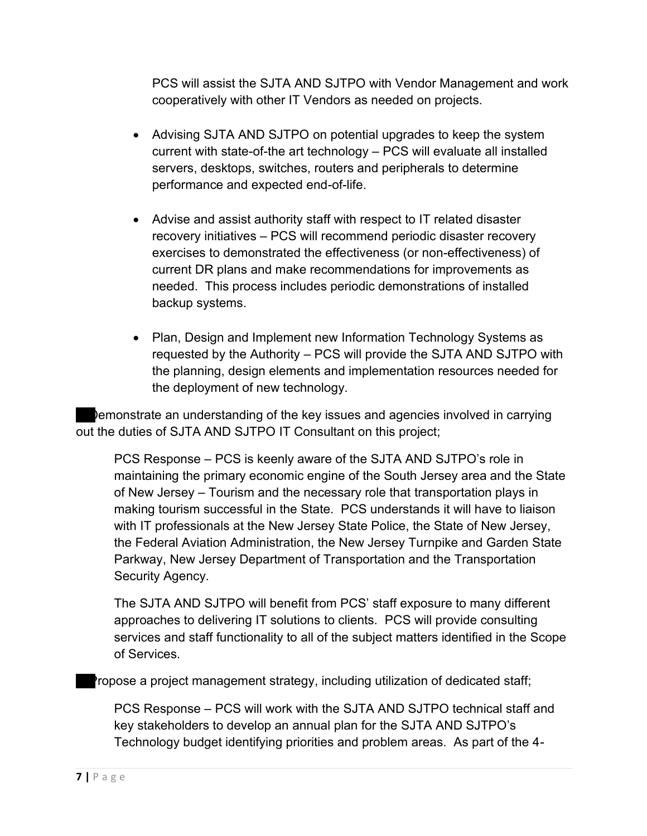PCS will assist the SJTA AND SJTPO with Vendor Management and work cooperatively with other IT Vendors as needed on projects.

- Advising SJTA AND SJTPO on potential upgrades to keep the system current with state-of-the art technology – PCS will evaluate all installed servers, desktops, switches, routers and peripherals to determine performance and expected end-of-life.
- Advise and assist authority staff with respect to IT related disaster recovery initiatives – PCS will recommend periodic disaster recovery exercises to demonstrated the effectiveness (or non-effectiveness) of current DR plans and make recommendations for improvements as needed. This process includes periodic demonstrations of installed backup systems.
- Plan, Design and Implement new Information Technology Systems as requested by the Authority – PCS will provide the SJTA AND SJTPO with the planning, design elements and implementation resources needed for the deployment of new technology.

 Demonstrate an understanding of the key issues and agencies involved in carrying out the duties of SJTA AND SJTPO IT Consultant on this project;

 PCS Response – PCS is keenly aware of the SJTA AND SJTPO's role in maintaining the primary economic engine of the South Jersey area and the State of New Jersey – Tourism and the necessary role that transportation plays in making tourism successful in the State. PCS understands it will have to liaison with IT professionals at the New Jersey State Police, the State of New Jersey, the Federal Aviation Administration, the New Jersey Turnpike and Garden State Parkway, New Jersey Department of Transportation and the Transportation Security Agency.

The SJTA AND SJTPO will benefit from PCS' staff exposure to many different approaches to delivering IT solutions to clients. PCS will provide consulting services and staff functionality to all of the subject matters identified in the Scope of Services.

Propose a project management strategy, including utilization of dedicated staff;

PCS Response – PCS will work with the SJTA AND SJTPO technical staff and key stakeholders to develop an annual plan for the SJTA AND SJTPO's Technology budget identifying priorities and problem areas. As part of the 4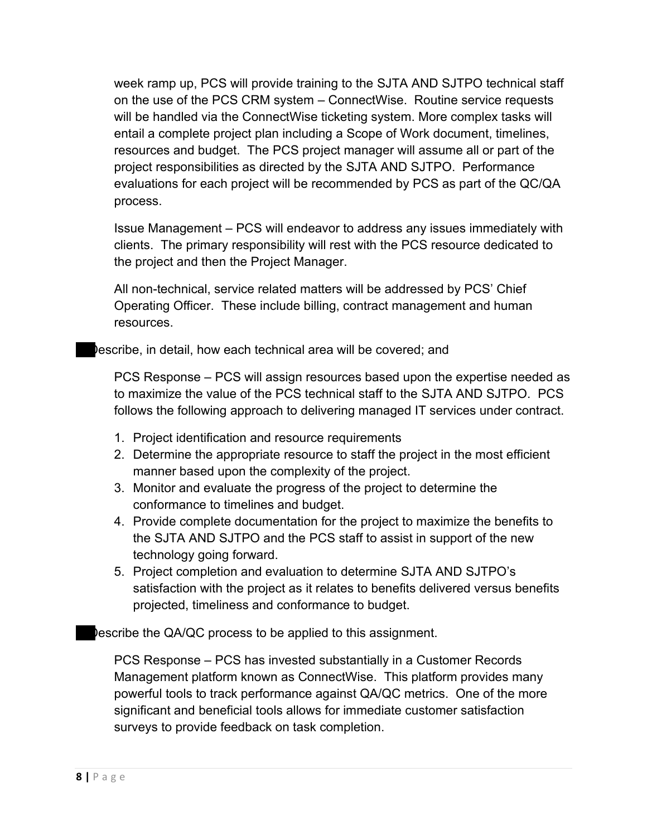week ramp up, PCS will provide training to the SJTA AND SJTPO technical staff on the use of the PCS CRM system – ConnectWise. Routine service requests will be handled via the ConnectWise ticketing system. More complex tasks will entail a complete project plan including a Scope of Work document, timelines, resources and budget. The PCS project manager will assume all or part of the project responsibilities as directed by the SJTA AND SJTPO. Performance evaluations for each project will be recommended by PCS as part of the QC/QA process.

Issue Management – PCS will endeavor to address any issues immediately with clients. The primary responsibility will rest with the PCS resource dedicated to the project and then the Project Manager.

All non-technical, service related matters will be addressed by PCS' Chief Operating Officer. These include billing, contract management and human resources.

Describe, in detail, how each technical area will be covered; and

PCS Response – PCS will assign resources based upon the expertise needed as to maximize the value of the PCS technical staff to the SJTA AND SJTPO. PCS follows the following approach to delivering managed IT services under contract.

- 1. Project identification and resource requirements
- 2. Determine the appropriate resource to staff the project in the most efficient manner based upon the complexity of the project.
- 3. Monitor and evaluate the progress of the project to determine the conformance to timelines and budget.
- 4. Provide complete documentation for the project to maximize the benefits to the SJTA AND SJTPO and the PCS staff to assist in support of the new technology going forward.
- 5. Project completion and evaluation to determine SJTA AND SJTPO's satisfaction with the project as it relates to benefits delivered versus benefits projected, timeliness and conformance to budget.

Describe the QA/QC process to be applied to this assignment.

PCS Response – PCS has invested substantially in a Customer Records Management platform known as ConnectWise. This platform provides many powerful tools to track performance against QA/QC metrics. One of the more significant and beneficial tools allows for immediate customer satisfaction surveys to provide feedback on task completion.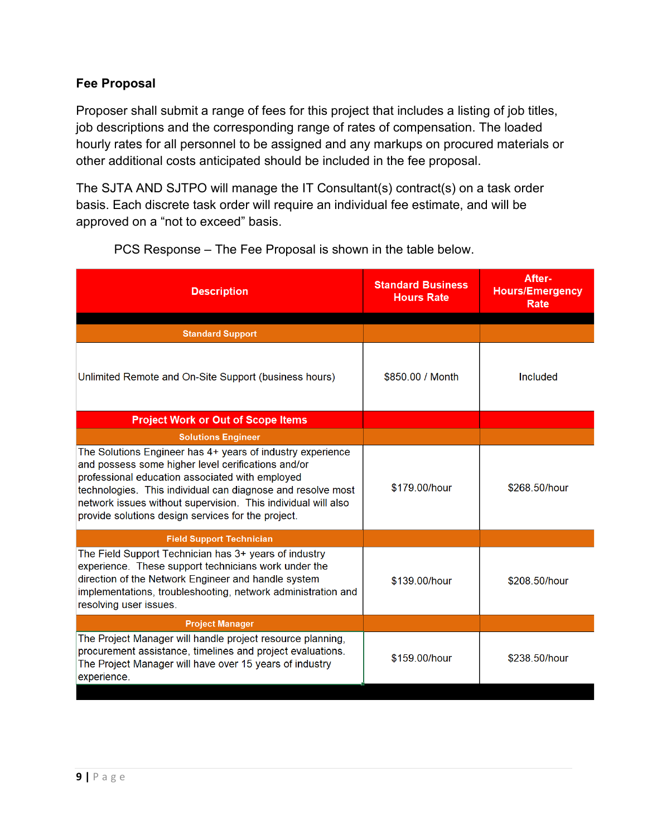#### **Fee Proposal**

Proposer shall submit a range of fees for this project that includes a listing of job titles, job descriptions and the corresponding range of rates of compensation. The loaded hourly rates for all personnel to be assigned and any markups on procured materials or other additional costs anticipated should be included in the fee proposal.

The SJTA AND SJTPO will manage the IT Consultant(s) contract(s) on a task order basis. Each discrete task order will require an individual fee estimate, and will be approved on a "not to exceed" basis.

| <b>Description</b>                                                                                                                                                                                                                                                                                                                                        | <b>Standard Business</b><br><b>Hours Rate</b> | After-<br><b>Hours/Emergency</b><br>Rate |
|-----------------------------------------------------------------------------------------------------------------------------------------------------------------------------------------------------------------------------------------------------------------------------------------------------------------------------------------------------------|-----------------------------------------------|------------------------------------------|
|                                                                                                                                                                                                                                                                                                                                                           |                                               |                                          |
| <b>Standard Support</b>                                                                                                                                                                                                                                                                                                                                   |                                               |                                          |
| Unlimited Remote and On-Site Support (business hours)                                                                                                                                                                                                                                                                                                     | \$850.00 / Month                              | Included                                 |
| <b>Project Work or Out of Scope Items</b>                                                                                                                                                                                                                                                                                                                 |                                               |                                          |
| <b>Solutions Engineer</b>                                                                                                                                                                                                                                                                                                                                 |                                               |                                          |
| The Solutions Engineer has 4+ years of industry experience<br>and possess some higher level cerifications and/or<br>professional education associated with employed<br>technologies. This individual can diagnose and resolve most<br>network issues without supervision. This individual will also<br>provide solutions design services for the project. | \$179.00/hour<br>\$268.50/hour                |                                          |
| <b>Field Support Technician</b>                                                                                                                                                                                                                                                                                                                           |                                               |                                          |
| The Field Support Technician has 3+ years of industry<br>experience. These support technicians work under the<br>direction of the Network Engineer and handle system<br>implementations, troubleshooting, network administration and<br>resolving user issues.                                                                                            | \$139.00/hour<br>\$208.50/hour                |                                          |
| <b>Project Manager</b>                                                                                                                                                                                                                                                                                                                                    |                                               |                                          |
| The Project Manager will handle project resource planning,<br>procurement assistance, timelines and project evaluations.<br>The Project Manager will have over 15 years of industry<br>experience.                                                                                                                                                        | \$159.00/hour                                 | \$238.50/hour                            |

PCS Response – The Fee Proposal is shown in the table below.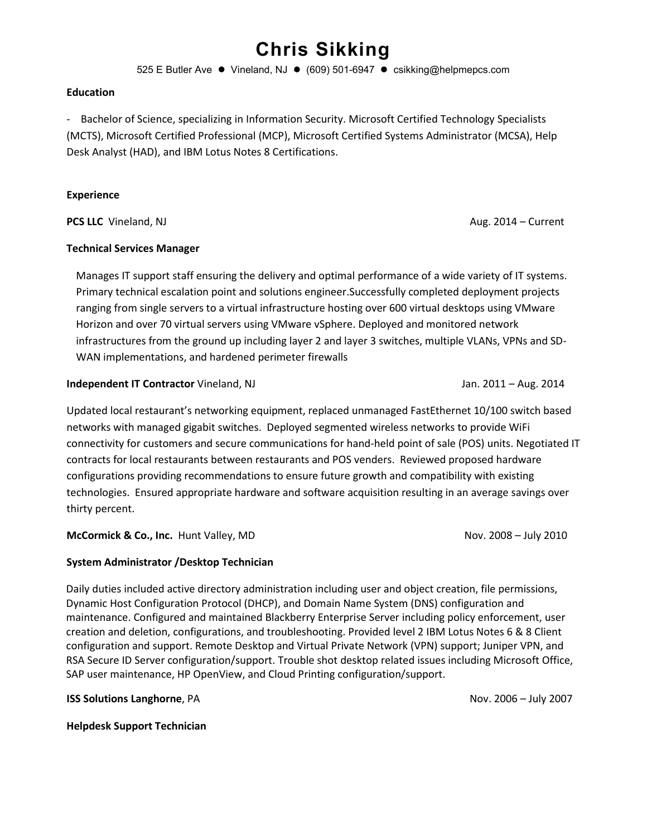# **Chris Sikking**

525 E Butler Ave ⚫ Vineland, NJ ⚫ (609) 501-6947 ⚫ csikking@helpmepcs.com

#### **Education**

- Bachelor of Science, specializing in Information Security. Microsoft Certified Technology Specialists (MCTS), Microsoft Certified Professional (MCP), Microsoft Certified Systems Administrator (MCSA), Help Desk Analyst (HAD), and IBM Lotus Notes 8 Certifications.

#### **Experience**

**PCS LLC** Vineland, NJ **Aug. 2014 – Current** 

#### **Technical Services Manager**

Manages IT support staff ensuring the delivery and optimal performance of a wide variety of IT systems. Primary technical escalation point and solutions engineer.Successfully completed deployment projects ranging from single servers to a virtual infrastructure hosting over 600 virtual desktops using VMware Horizon and over 70 virtual servers using VMware vSphere. Deployed and monitored network infrastructures from the ground up including layer 2 and layer 3 switches, multiple VLANs, VPNs and SD-WAN implementations, and hardened perimeter firewalls

#### **Independent IT Contractor** Vineland, NJ Jan. 2011 – Aug. 2014

Updated local restaurant's networking equipment, replaced unmanaged FastEthernet 10/100 switch based networks with managed gigabit switches. Deployed segmented wireless networks to provide WiFi connectivity for customers and secure communications for hand-held point of sale (POS) units. Negotiated IT contracts for local restaurants between restaurants and POS venders. Reviewed proposed hardware configurations providing recommendations to ensure future growth and compatibility with existing technologies. Ensured appropriate hardware and software acquisition resulting in an average savings over thirty percent.

**McCormick & Co., Inc.** Hunt Valley, MD Nov. 2008 – July 2010

#### **System Administrator /Desktop Technician**

Daily duties included active directory administration including user and object creation, file permissions, Dynamic Host Configuration Protocol (DHCP), and Domain Name System (DNS) configuration and maintenance. Configured and maintained Blackberry Enterprise Server including policy enforcement, user creation and deletion, configurations, and troubleshooting. Provided level 2 IBM Lotus Notes 6 & 8 Client configuration and support. Remote Desktop and Virtual Private Network (VPN) support; Juniper VPN, and RSA Secure ID Server configuration/support. Trouble shot desktop related issues including Microsoft Office, SAP user maintenance, HP OpenView, and Cloud Printing configuration/support.

**ISS Solutions Langhorne**, PA Nov. 2006 – July 2007

**Helpdesk Support Technician**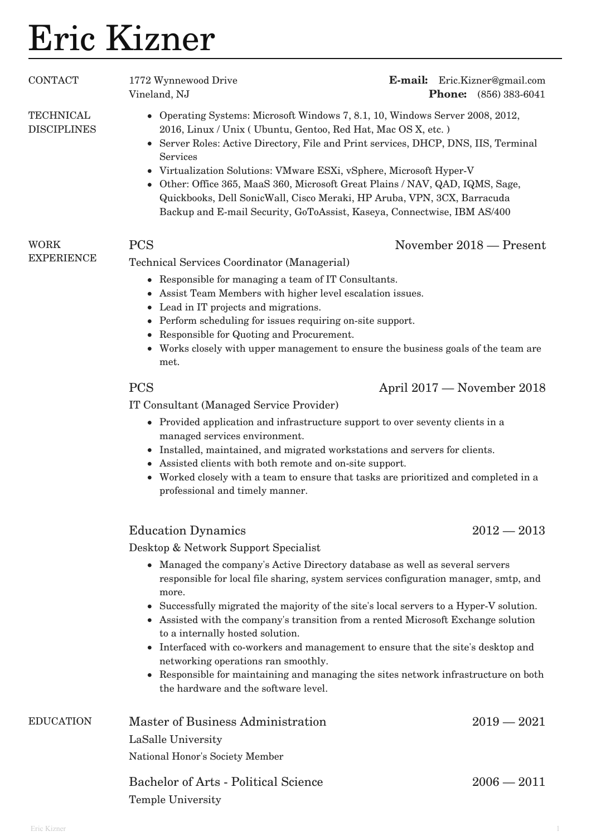# Eric Kizner

| <b>CONTACT</b>                         | 1772 Wynnewood Drive<br>Vineland, NJ                                                                                                                                                                                                                                                                                                                                                                                                                                                                                                                                                                                                                                   | <b>E-mail:</b> Eric.Kizner@gmail.com<br><b>Phone:</b> (856) 383-6041 |
|----------------------------------------|------------------------------------------------------------------------------------------------------------------------------------------------------------------------------------------------------------------------------------------------------------------------------------------------------------------------------------------------------------------------------------------------------------------------------------------------------------------------------------------------------------------------------------------------------------------------------------------------------------------------------------------------------------------------|----------------------------------------------------------------------|
| <b>TECHNICAL</b><br><b>DISCIPLINES</b> | • Operating Systems: Microsoft Windows 7, 8.1, 10, Windows Server 2008, 2012,<br>2016, Linux / Unix (Ubuntu, Gentoo, Red Hat, Mac OS X, etc.)<br>Server Roles: Active Directory, File and Print services, DHCP, DNS, IIS, Terminal<br>Services<br>• Virtualization Solutions: VMware ESXi, vSphere, Microsoft Hyper-V<br>Other: Office 365, MaaS 360, Microsoft Great Plains / NAV, QAD, IQMS, Sage,<br>Quickbooks, Dell SonicWall, Cisco Meraki, HP Aruba, VPN, 3CX, Barracuda<br>Backup and E-mail Security, GoToAssist, Kaseya, Connectwise, IBM AS/400                                                                                                             |                                                                      |
| <b>WORK</b><br><b>EXPERIENCE</b>       | <b>PCS</b>                                                                                                                                                                                                                                                                                                                                                                                                                                                                                                                                                                                                                                                             | November 2018 - Present                                              |
|                                        | Technical Services Coordinator (Managerial)<br>Responsible for managing a team of IT Consultants.<br>$\bullet$<br>• Assist Team Members with higher level escalation issues.<br>Lead in IT projects and migrations.<br>$\bullet$<br>Perform scheduling for issues requiring on-site support.<br>Responsible for Quoting and Procurement.<br>• Works closely with upper management to ensure the business goals of the team are<br>met.                                                                                                                                                                                                                                 |                                                                      |
|                                        | <b>PCS</b>                                                                                                                                                                                                                                                                                                                                                                                                                                                                                                                                                                                                                                                             | April 2017 – November 2018                                           |
|                                        | IT Consultant (Managed Service Provider)<br>• Provided application and infrastructure support to over seventy clients in a<br>managed services environment.<br>• Installed, maintained, and migrated workstations and servers for clients.<br>Assisted clients with both remote and on-site support.<br>• Worked closely with a team to ensure that tasks are prioritized and completed in a<br>professional and timely manner.                                                                                                                                                                                                                                        |                                                                      |
|                                        | <b>Education Dynamics</b><br>Desktop & Network Support Specialist                                                                                                                                                                                                                                                                                                                                                                                                                                                                                                                                                                                                      | $2012 - 2013$                                                        |
|                                        | • Managed the company's Active Directory database as well as several servers<br>responsible for local file sharing, system services configuration manager, smtp, and<br>more.<br>Successfully migrated the majority of the site's local servers to a Hyper-V solution.<br>$\bullet$<br>• Assisted with the company's transition from a rented Microsoft Exchange solution<br>to a internally hosted solution.<br>Interfaced with co-workers and management to ensure that the site's desktop and<br>networking operations ran smoothly.<br>• Responsible for maintaining and managing the sites network infrastructure on both<br>the hardware and the software level. |                                                                      |
| <b>EDUCATION</b>                       | Master of Business Administration<br>LaSalle University                                                                                                                                                                                                                                                                                                                                                                                                                                                                                                                                                                                                                | $2019 - 2021$                                                        |

National Honor's Society Member

## Bachelor of Arts - Political Science 2006 — 2011 Temple University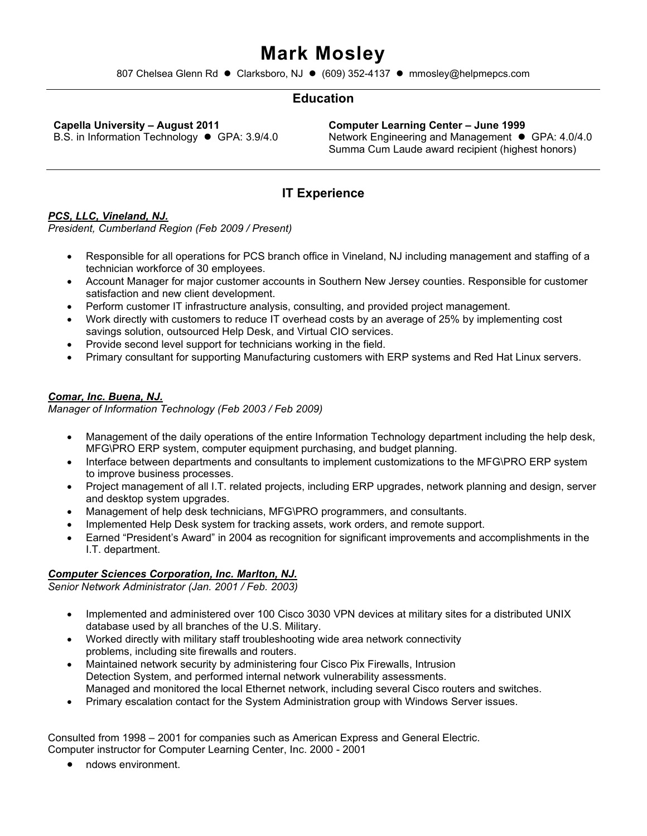# **Mark Mosley**

807 Chelsea Glenn Rd ⚫ Clarksboro, NJ ⚫ (609) 352-4137 ⚫ mmosley@helpmepcs.com

#### **Education**

**Capella University – August 2011**  B.S. in Information Technology ⚫ GPA: 3.9/4.0

**Computer Learning Center – June 1999**  Network Engineering and Management ● GPA: 4.0/4.0 Summa Cum Laude award recipient (highest honors)

#### **IT Experience**

#### *PCS, LLC, Vineland, NJ.*

*President, Cumberland Region (Feb 2009 / Present)* 

- Responsible for all operations for PCS branch office in Vineland, NJ including management and staffing of a technician workforce of 30 employees.
- Account Manager for major customer accounts in Southern New Jersey counties. Responsible for customer satisfaction and new client development.
- Perform customer IT infrastructure analysis, consulting, and provided project management.
- Work directly with customers to reduce IT overhead costs by an average of 25% by implementing cost savings solution, outsourced Help Desk, and Virtual CIO services.
- Provide second level support for technicians working in the field.
- Primary consultant for supporting Manufacturing customers with ERP systems and Red Hat Linux servers.

#### *Comar, Inc. Buena, NJ.*

*Manager of Information Technology (Feb 2003 / Feb 2009)* 

- Management of the daily operations of the entire Information Technology department including the help desk, MFG\PRO ERP system, computer equipment purchasing, and budget planning.
- Interface between departments and consultants to implement customizations to the MFG\PRO ERP system to improve business processes.
- Project management of all I.T. related projects, including ERP upgrades, network planning and design, server and desktop system upgrades.
- Management of help desk technicians, MFG\PRO programmers, and consultants.
- Implemented Help Desk system for tracking assets, work orders, and remote support.
- Earned "President's Award" in 2004 as recognition for significant improvements and accomplishments in the I.T. department.

#### *Computer Sciences Corporation, Inc. Marlton, NJ.*

*Senior Network Administrator (Jan. 2001 / Feb. 2003)* 

- Implemented and administered over 100 Cisco 3030 VPN devices at military sites for a distributed UNIX database used by all branches of the U.S. Military.
- Worked directly with military staff troubleshooting wide area network connectivity problems, including site firewalls and routers.
- Maintained network security by administering four Cisco Pix Firewalls, Intrusion Detection System, and performed internal network vulnerability assessments. Managed and monitored the local Ethernet network, including several Cisco routers and switches.
- Primary escalation contact for the System Administration group with Windows Server issues.

Consulted from 1998 – 2001 for companies such as American Express and General Electric. Computer instructor for Computer Learning Center, Inc. 2000 - 2001

• ndows environment.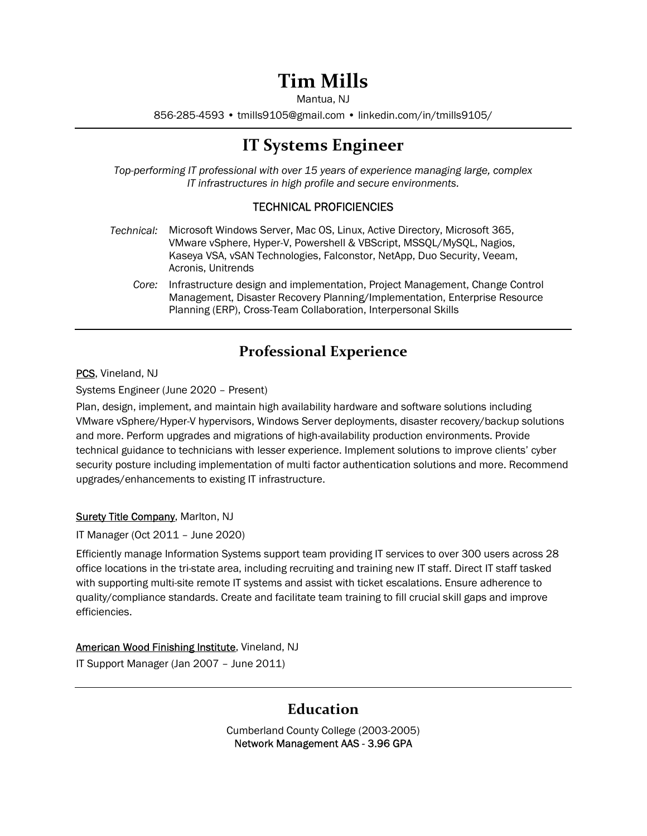# Tim Mills

Mantua, NJ

856-285-4593 • tmills9105@gmail.com • linkedin.com/in/tmills9105/

## IT Systems Engineer

Top-performing IT professional with over 15 years of experience managing large, complex IT infrastructures in high profile and secure environments.

#### TECHNICAL PROFICIENCIES

- Technical: Microsoft Windows Server, Mac OS, Linux, Active Directory, Microsoft 365, VMware vSphere, Hyper-V, Powershell & VBScript, MSSQL/MySQL, Nagios, Kaseya VSA, vSAN Technologies, Falconstor, NetApp, Duo Security, Veeam, Acronis, Unitrends
	- Core: Infrastructure design and implementation, Project Management, Change Control Management, Disaster Recovery Planning/Implementation, Enterprise Resource Planning (ERP), Cross-Team Collaboration, Interpersonal Skills

## Professional Experience

PCS, Vineland, NJ

Systems Engineer (June 2020 – Present)

Plan, design, implement, and maintain high availability hardware and software solutions including VMware vSphere/Hyper-V hypervisors, Windows Server deployments, disaster recovery/backup solutions and more. Perform upgrades and migrations of high-availability production environments. Provide technical guidance to technicians with lesser experience. Implement solutions to improve clients' cyber security posture including implementation of multi factor authentication solutions and more. Recommend upgrades/enhancements to existing IT infrastructure.

#### Surety Title Company, Marlton, NJ

IT Manager (Oct 2011 – June 2020)

Efficiently manage Information Systems support team providing IT services to over 300 users across 28 office locations in the tri-state area, including recruiting and training new IT staff. Direct IT staff tasked with supporting multi-site remote IT systems and assist with ticket escalations. Ensure adherence to quality/compliance standards. Create and facilitate team training to fill crucial skill gaps and improve efficiencies.

American Wood Finishing Institute, Vineland, NJ IT Support Manager (Jan 2007 – June 2011)

## Education

Cumberland County College (2003-2005) Network Management AAS - 3.96 GPA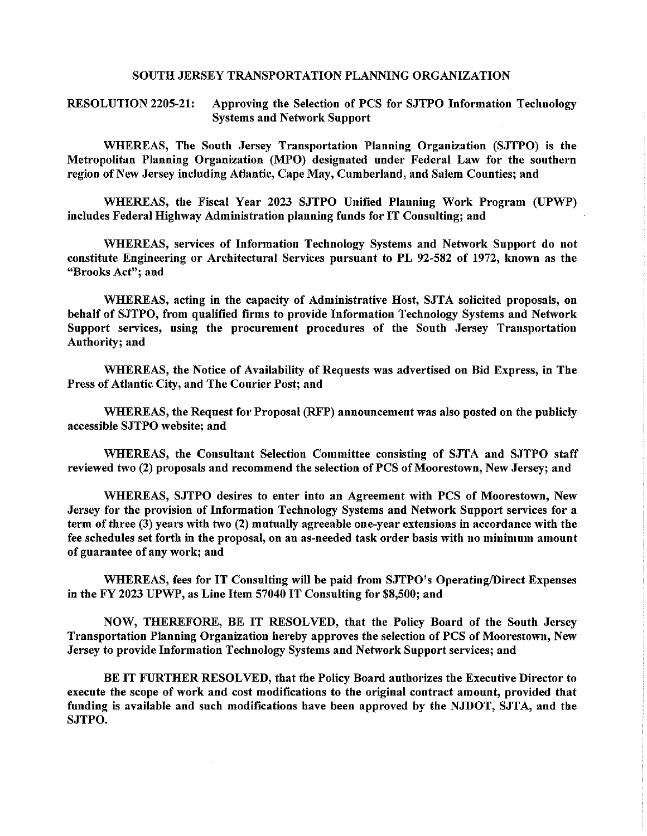#### SOUTH JERSEY TRANSPORTATION PLANNING ORGANIZATION

**RESOLUTION 2205-21:** Approving the Selection of PCS for SJTPO Information Technology **Systems and Network Support** 

WHEREAS, The South Jersey Transportation Planning Organization (SJTPO) is the Metropolitan Planning Organization (MPO) designated under Federal Law for the southern region of New Jersey including Atlantic, Cape May, Cumberland, and Salem Counties; and

WHEREAS, the Fiscal Year 2023 SJTPO Unified Planning Work Program (UPWP) includes Federal Highway Administration planning funds for IT Consulting; and

WHEREAS, services of Information Technology Systems and Network Support do not constitute Engineering or Architectural Services pursuant to PL 92-582 of 1972, known as the "Brooks Act"; and

WHEREAS, acting in the capacity of Administrative Host, SJTA solicited proposals, on behalf of SJTPO, from qualified firms to provide Information Technology Systems and Network Support services, using the procurement procedures of the South Jersey Transportation Authority; and

WHEREAS, the Notice of Availability of Requests was advertised on Bid Express, in The Press of Atlantic City, and The Courier Post; and

WHEREAS, the Request for Proposal (RFP) announcement was also posted on the publicly accessible SJTPO website; and

WHEREAS, the Consultant Selection Committee consisting of SJTA and SJTPO staff reviewed two (2) proposals and recommend the selection of PCS of Moorestown, New Jersey; and

WHEREAS, SJTPO desires to enter into an Agreement with PCS of Moorestown, New Jersey for the provision of Information Technology Systems and Network Support services for a term of three (3) years with two (2) mutually agreeable one-year extensions in accordance with the fee schedules set forth in the proposal, on an as-needed task order basis with no minimum amount of guarantee of any work; and

WHEREAS, fees for IT Consulting will be paid from SJTPO's Operating/Direct Expenses in the FY 2023 UPWP, as Line Item 57040 IT Consulting for \$8,500; and

NOW, THEREFORE, BE IT RESOLVED, that the Policy Board of the South Jersey Transportation Planning Organization hereby approves the selection of PCS of Moorestown, New Jersey to provide Information Technology Systems and Network Support services; and

BE IT FURTHER RESOLVED, that the Policy Board authorizes the Executive Director to execute the scope of work and cost modifications to the original contract amount, provided that funding is available and such modifications have been approved by the NJDOT, SJTA, and the SJTPO.